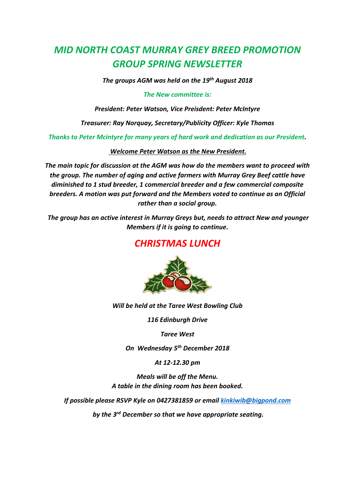# *MID NORTH COAST MURRAY GREY BREED PROMOTION GROUP SPRING NEWSLETTER*

*The groups AGM was held on the 19th August 2018*

### *The New committee is:*

*President: Peter Watson, Vice Preisdent: Peter McIntyre*

*Treasurer: Ray Norquay, Secretary/Publicity Officer: Kyle Thomas*

*Thanks to Peter Mcintyre for many years of hard work and dedication as our President.*

*Welcome Peter Watson as the New President.*

*The main topic for discussion at the AGM was how do the members want to proceed with the group. The number of aging and active farmers with Murray Grey Beef cattle have diminished to 1 stud breeder, 1 commercial breeder and a few commercial composite breeders. A motion was put forward and the Members voted to continue as an Official rather than a social group.*

*The group has an active interest in Murray Greys but, needs to attract New and younger Members if it is going to continue.* 

## *CHRISTMAS LUNCH*



### *Will be held at the Taree West Bowling Club*

*116 Edinburgh Drive*

*Taree West*

*On Wednesday 5th December 2018*

*At 12-12.30 pm*

*Meals will be off the Menu. A table in the dining room has been booked.*

*If possible please RSVP Kyle on 0427381859 or email [kinkiwib@bigpond.com](mailto:kinkiwib@bigpond.com)*

*by the 3rd December so that we have appropriate seating.*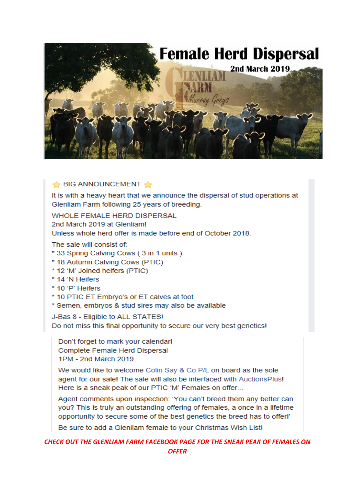

### BIG ANNOUNCEMENT

It is with a heavy heart that we announce the dispersal of stud operations at Glenliam Farm following 25 years of breeding.

WHOLE FEMALE HERD DISPERSAL 2nd March 2019 at Glenliam!

Unless whole herd offer is made before end of October 2018.

The sale will consist of:

- \* 33 Spring Calving Cows (3 in 1 units)
- \* 18 Autumn Calving Cows (PTIC)
- \* 12 'M' Joined heifers (PTIC)
- \* 14 'N Heifers
- \* 10 'P' Heifers
- \* 10 PTIC ET Embryo's or ET calves at foot
- \* Semen, embryos & stud sires may also be available

J-Bas 8 - Eligible to ALL STATES! Do not miss this final opportunity to secure our very best genetics!

Don't forget to mark your calendar! Complete Female Herd Dispersal 1PM - 2nd March 2019

We would like to welcome Colin Say & Co P/L on board as the sole agent for our sale! The sale will also be interfaced with AuctionsPlus! Here is a sneak peak of our PTIC 'M' Females on offer...

Agent comments upon inspection: 'You can't breed them any better can you? This is truly an outstanding offering of females, a once in a lifetime opportunity to secure some of the best genetics the breed has to offer!'

Be sure to add a Glenliam female to your Christmas Wish List!

CHECK OUT THE GLENLIAM FARM FACEBOOK PAGE FOR THE SNEAK PEAK OF FEMALES ON **OFFER**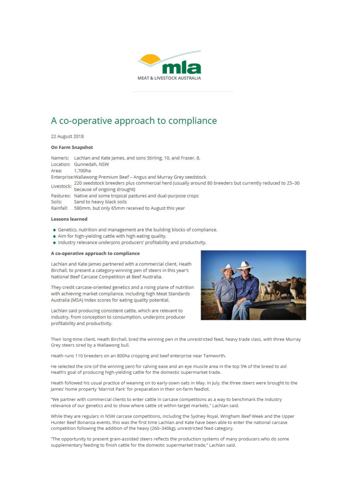

## A co-operative approach to compliance

22 August 2018

#### On Farm Snapshot

Name/s: Lachlan and Kate James, and sons Stirling, 10, and Fraser, 8. Location: Gunnedah, NSW Area: 1.700ha Enterprise: Wallawong Premium Beef - Angus and Murray Grey seedstock Livestock: 220 seedstock breeders plus commercial herd (usually around 80 breeders but currently reduced to 25-30 Pastures: Native and some tropical pastures and dual-purpose crops Sand to heavy black soils Soils: Rainfall: 580mm, but only 65mm received to August this year

#### **Lessons learned**

- · Genetics, nutrition and management are the building blocks of compliance.
- . Aim for high-yielding cattle with high eating quality.
- . Industry relevance underpins producers' profitability and productivity.

#### A co-operative approach to compliance

Lachlan and Kate James partnered with a commercial client, Heath Birchall, to present a category-winning pen of steers in this year's National Beef Carcase Competition at Beef Australia.

They credit carcase-oriented genetics and a rising plane of nutrition with achieving market compliance, including high Meat Standards Australia (MSA) Index scores for eating quality potential.

Lachlan said producing consistent cattle, which are relevant to industry, from conception to consumption, underpins producer profitability and productivity.



Their long-time client, Heath Birchall, bred the winning pen in the unrestricted feed, heavy trade class, with three Murray Grey steers sired by a Wallawong bull.

Heath runs 110 breeders on an 800ha cropping and beef enterprise near Tamworth.

He selected the sire (of the winning pen) for calving ease and an eye muscle area in the top 5% of the breed to aid Heath's goal of producing high-yielding cattle for the domestic supermarket trade.

Heath followed his usual practice of weaning on to early-sown oats in May. In July, the three steers were brought to the James' home property 'Marriot Park' for preparation in their on-farm feedlot.

"We partner with commercial clients to enter cattle in carcase competitions as a way to benchmark the industry relevance of our genetics and to show where cattle sit within target markets," Lachlan said.

While they are regulars in NSW carcase competitions, including the Sydney Royal, Wingham Beef Week and the Upper Hunter Beef Bonanza events, this was the first time Lachlan and Kate have been able to enter the national carcase competition following the addition of the heavy (260-340kg), unrestricted feed category.

"The opportunity to present grain-assisted steers reflects the production systems of many producers who do some supplementary feeding to finish cattle for the domestic supermarket trade," Lachlan said.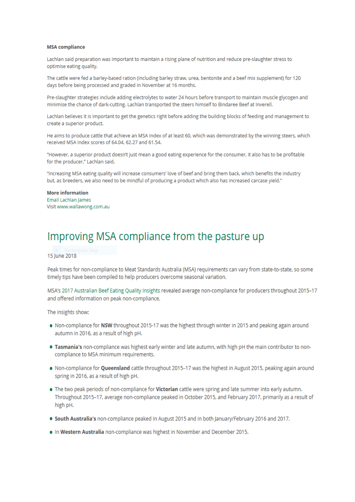#### **MSA** compliance

Lachlan said preparation was important to maintain a rising plane of nutrition and reduce pre-slaughter stress to optimise eating quality.

The cattle were fed a barley-based ration (including barley straw, urea, bentonite and a beef mix supplement) for 120 days before being processed and graded in November at 16 months.

Pre-slaughter strategies include adding electrolytes to water 24 hours before transport to maintain muscle glycogen and minimise the chance of dark-cutting. Lachlan transported the steers himself to Bindaree Beef at Inverell.

Lachlan believes it is important to get the genetics right before adding the building blocks of feeding and management to create a superior product.

He aims to produce cattle that achieve an MSA Index of at least 60, which was demonstrated by the winning steers, which received MSA Index scores of 64.04, 62.27 and 61.54.

"However, a superior product doesn't just mean a good eating experience for the consumer, it also has to be profitable for the producer," Lachlan said.

"Increasing MSA eating quality will increase consumers' love of beef and bring them back, which benefits the industry but, as breeders, we also need to be mindful of producing a product which also has increased carcase yield."

#### **More information** Email Lachlan James Visit www.wallawong.com.au

## Improving MSA compliance from the pasture up

15 June 2018

Peak times for non-compliance to Meat Standards Australia (MSA) requirements can vary from state-to-state, so some timely tips have been compiled to help producers overcome seasonal variation.

MSA's 2017 Australian Beef Eating Quality Insights revealed average non-compliance for producers throughout 2015-17 and offered information on peak non-compliance.

The insights show:

- . Non-compliance for NSW throughout 2015-17 was the highest through winter in 2015 and peaking again around autumn in 2016, as a result of high pH.
- . Tasmania's non-compliance was highest early winter and late autumn, with high pH the main contributor to noncompliance to MSA minimum requirements.
- . Non-compliance for Queensland cattle throughout 2015-17 was the highest in August 2015, peaking again around spring in 2016, as a result of high pH.
- . The two peak periods of non-compliance for Victorian cattle were spring and late summer into early autumn. Throughout 2015-17, average non-compliance peaked in October 2015, and February 2017, primarily as a result of high pH.
- . South Australia's non-compliance peaked in August 2015 and in both January/February 2016 and 2017.
- . In Western Australia non-compliance was highest in November and December 2015.